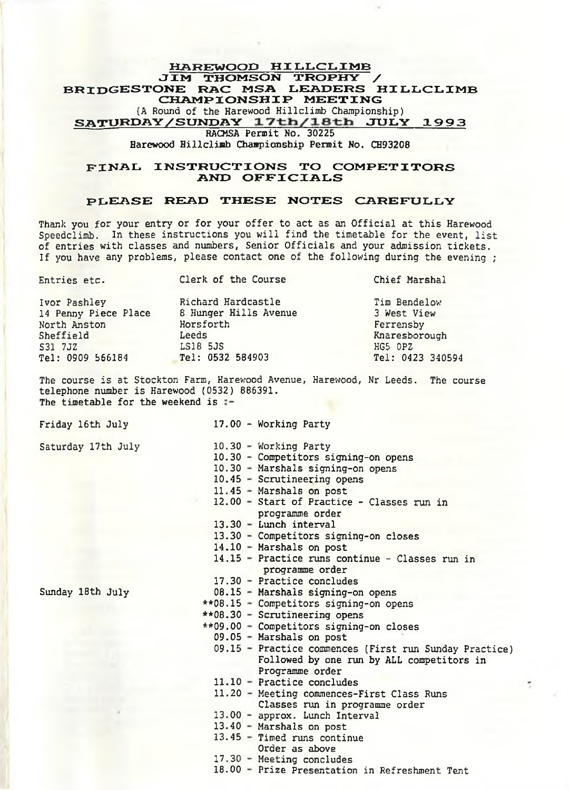## HAREWOOD HILLCLIMB JIM THOMSON TROPHY BRIDGESTONE RAC MSA LEADERS HILLCLIMB CHAMPIONSHIP MEETING (A Round of the Harewood Hillclimb Championship) SATURDAY/SUNDAY 17th/18th JULY 1993 RACMSA Permit No. 30225 Harewood Hillclimb Championship Permit No. CH93208

## FINAL INSTRUCTIONS TO COMPETITORS AND OFFICIALS

# PUEASE READ THESE NOTES CAREFULLY

Thank you for your entry or for your offer to act as an Official at this Harewood Speedclimb. In these instructions you will find the timetable for the event, list of entries with classes and numbers, Senior Officials and your admission tickets. If you have any problems, please contact one of the following during the evening ;

| Entries etc.         | Clerk of the Course   | Chief Marshal    |  |  |
|----------------------|-----------------------|------------------|--|--|
| Ivor Pashley         | Richard Hardcastle    | Tim Bendelow     |  |  |
| 14 Penny Piece Place | 8 Hunger Hills Avenue | 3 West View      |  |  |
| North Anston         | Horsforth             | Ferrensby        |  |  |
| Sheffield            | Leeds                 | Knaresborough    |  |  |
| S31 7JZ              | LS18 5JS              | HG5 OPZ          |  |  |
| Tel: 0909 566184     | Tel: 0532 584903      | Tel: 0423 340594 |  |  |

The course is at Stockton Farm, Harewood Avenue, Harev/ood, Nr Leeds, The course telephone number is Harewood (0532) 886391. The timetable for the weekend is :-

Friday 16th July

17.00 - Working Party

Saturday 17th July

Sunday 18th July

- 
- 10.30 Working Party
- 10.30 Competitors signing-on opens
- 10.30 Marshals signing-on opens
- 10.45 Scrutineering opens
- 11.45 Marshals on post
- 12.00 Start of Practice Classes run in
	- programme order
- 13.30 Lunch interval
- 13.30 Competitors signing-on closes
- 14.10 Marshals on post
- 14.15 Practice runs continue Classes run in programme order
- 17.30 Practice concludes
- 08.15 Marshals signing-on opens
- \*\*08.15 Competitors signing-on opens
- \*\*08.30 Scrutineering opens
- \*\*09.00 Competitors signing-on closes
- 09.05 Marshals on post
	- 09.15 Practice commences (First run Sunday Practice) Followed by one run by ALL competitors in Programme order
	- **11.10** Practice concludes
	- 11.20 Meeting commences-First Class Runs
	- Classes run in programme order
	- 13.00 approx. Lunch Interval
	- 13.40 Marshals on post
	- 13.45 Timed runs continue Order as above
	- 17.30 Meeting concludes
	- 18.00 Prize Presentation in Refreshment Tent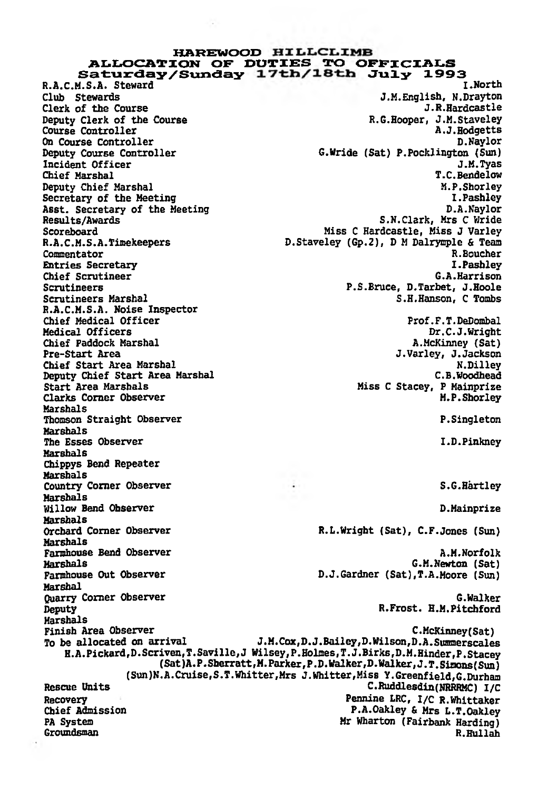# HAREWOOD ALLOCATION OF DUTIES TO OFFICIALS Saturday/Sunday 17th/18th July 1993<br>M.S.A. Steward M.S.A. Steward

R.A.C.M.S.A. Steward<br>Club Stewards On Course Controller<br>Deputy Course Controller Asst. Secretary of the Meeting<br>Results/Awards Chief Scrutineer<br>Scrutineers R.A.C.M.S.A. Noise Inspector Chief Paddock Marshal<br>Pre-Start Area Deputy Chief Start Area Marshal<br>Start Area Marshals Clarks Corner Observer Marshals Marshals Marshals Chippys Bend Repeater Marshals Marshals Marshals<br>Orchard Corner Observer Marshals Marshal Marshals

J.M.English, N.Drayton<br>J.R.Hardcastle Clerk of the Course J.R.Hardcastle J.R.Hardcastle<br>Deputy Clerk of the Course J.B. Staveley R.G.Hooper, J.M.Staveley Deputy Clerk of the Course **Example 2** R.G.Hooper, J.M.Staveley<br>
Course Controller **R.G.Hooper, A.J.Hodgetts** Course Controller and Course Controller and Course Controller and Course Controller and Course Controller and Course Controller and Course Controller and Course Controller and Course Controller and Course Controller and Co G.Wride (Sat) P.Pocklington (Sun)<br>J.M.Tyas Incident Officer 3.8. Tyas 3.8. Tyas 3.8. Tyas 3.8. Tyas 3.8. Tyas 3.8. Tyas 3.8. Tyas 3.8. Tyas 3.8. Tyas 3.8. Tyas 3.8. Tyas 3.8. Tyas 3.8. Tyas 3.8. Tyas 3.8. Tyas 3.8. Tyas 3.8. Tyas 3.8. Tyas 3.8. Tyas 3.8. Tyas 3.8. Chief Marshal T.C.Bendelow Deputy Chief Marshal M.P.Shorley (M.P.Shorley M.P.Shorley M.P.Shorley M.P.Shorley (M.P.Shorley M.P.Shorley M.<br>Secretary of the Meeting (M.R.Shorley M.P.Shorley M.P.Shorley M.P.Shorley M.P.Shorley M.P.Shorley M.P.Shorley Secretary of the Meeting development of the Meeting of the Meeting of the Meeting of the Meeting of the Meeting<br>I.P. Associated Associates of the Meeting of the Meeting of the Meeting of the Meeting of the Meeting of the M S.N.Clark, Mrs C Wride Scoreboard Miss C Hardcastle, Miss J Varley R.A.C.M.S.A.Timekeepers D.Staveley (Gp.2), D M Dalrynple & Team Commentator R.Boucher Entries Secretary 1.Pashley 1.Pashley 1.Pashley 1.Pashley 1.Pashley 1.Pashley 1.Pashley 1.Pashley 1.Pashley 1.Pashley 1.Pashley 1.Pashley 1.Pashley 1.Pashley 1.Pashley 1.Pashley 1.Pashley 1.Pashley 1.Pashley 1.Pashley 1.Pa Scrutineers Marshal (1999) Scrutineers P.S.Bruce, D.Tarbet, J.Hoole<br>Scrutineers Marshal (1999) S.H.Hanson, C.Tombs S.H.Hanson, C Tombs Chief Medical Officer Prof.F.T.DeDombal Medical Officers Dr.C.J.Wright J.Varley, J.Jackson<br>N.Dilley Chief Start Area Marshal National Media Report of the Start Area Marshal National Media Report of the New York<br>Deputy Chief Start Area Marshal National C.B.Woodhead Miss C Stacey, P Mainprize<br>M.P.Shorley Thomson Straight Observer **P.Singleton** P.Singleton The Esses Observer I.D.Pinkney Country Corner Observer S.G.Hartley Willow Bend Observer **D.Mainprize** R.L.Wright (Sat), C.F.Jones (Sun) Farmhouse Bend Observer and A.M.Norfolk and A.M.Norfolk and A.M.Norfolk and A.M.Norfolk and A.M.Norfolk and A.M.Norfolk and A.M.Norfolk and A.M.Norfolk and A.M.Norfolk and A.M.Norfolk and A.M.Norfolk and A.M.Norfolk and A. Marshals G.M.Newton (Sat) D.J.Gardner (Sat),T.A.Moore (Sun) Quarry Comer Observer G.Walker Deputy R.Frost. H.M.Pitchford Finish Area Observer [Sat]<br>To be allocated on arrival [J.M.Cox,D.J.Bailey,D.Wilson,D.A.Summerscale J.M.Cox,D.J.Bailey,D.Wilson,D.A.Summerscales H.A.Pickard,D.Scriven,T.Saville,J Wilsey,P.Holmes,T.J.Birks,D.M.Hinder,P.Stacey (Sat)A.P.Sberratt,M.Parker,P.D.Walker,D.Walker,J.T.Sinons(Sun) (Sun)N.A.Cruise,S.T.Whitter,Mrs J.Whitter,Miss Y.Greenfield,G.Durham Rescue Units C.Ruddlesdin(HRRRMC) I/C Recovery **Pennine LRC, I/C R.Whittaker**<br> **Chief Admission P.A.Oakley & Mrs L.T.Oakley** P.A.Oakley & Mrs L.T.Oakley PA System Mr Wharton (Fairbank Harding)<br>Groundsman R.Hullah

Groundsman R.Hullah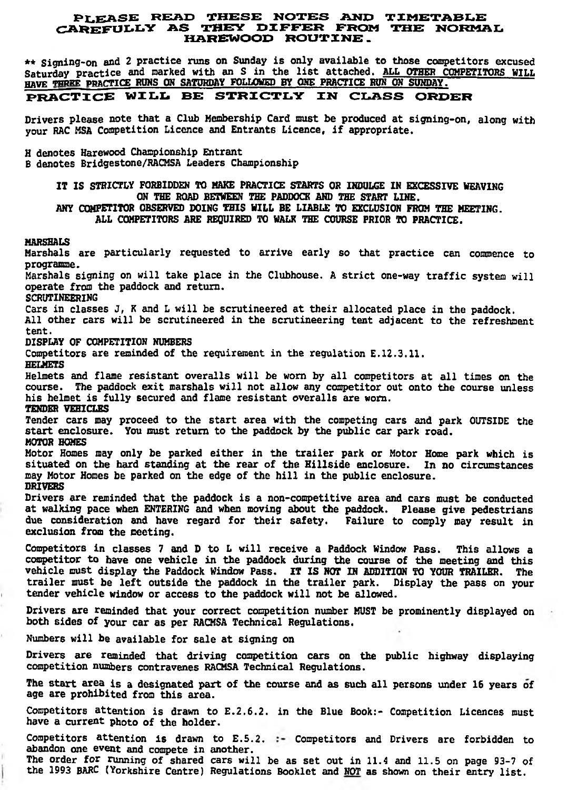# PLEASE READ THESE NOTES AND TIMETABLE<br>CAREFULLY AS THEY DIFFER FROM THE NORMAL HARE7MOOD ROUTINE.

\*\* Signing-on and 2 practice runs on Sunday is only available to those competitors excused Saturday practice and marked with an S in the list attached. ALL OTHER COMPETITORS WILL HAVE THREE PRACTICE RUNS ON SATURDAY FOLLOMED BY ONE PRACTICE RUN ON SUNDAY.

# PRACTICE WILL BE STRICTLY IN CLASS ORDER

Drivers please note that a Club Membership Card must be produced at signing-on, along with your RAC MSA Competition Licence and Entrants Licence. if appropriate.

H denotes Harewood Championship Entrant B denotes Bridgestone/RACMSA Leaders Championship

> IT IS STRICTLY FORBIDDEN TO MAKE PRACTICE STARTS OR INDULGE IN EXCESSIVE HEAVING ON THE ROAD BETWEEN THE PADDOCK AND THE START LINE.

> ANY COMPETITOR OBSERVED DOING THIS WILL BE LIABLE TO EXCLUSION FROM THE MEETING. ALL COMPETITORS ARE REQUIRED TO WALK THE COURSE PRIOR TO PRACTICE.

MARSHALS

Marshals are particularly requested to arrive early so that practice can commence to programme. Marshals signing on will take place in the Clubhouse. A strict one-way traffic system will operate from the paddock and return. SCRUTINEERING Cars in classes J, K and L will be scrutineered at their allocated place in the paddock. All other cars will be scrutineered in the scrutineering tent adjacent to the refreshment tent. DISPLAY OF COMPETITION NUMBERS Competitors are reminded of the requirement in the regulation E.12.3.11. **HELMETS** Helmets and flame resistant overalls will be worn by all competitors at all times on the course. The paddock exit marshals will not allow any competitor out onto the course unless his helmet is fully secured and flame resistant overalls are worn. TENDER VEHICLES Tender cars may proceed to the start area with the competing cars and park OUTSIDE the start enclosure. You must return to the paddock by the public car park road. MOTOR HOMES Motor Homes may only be parked either in the trailer park or Motor Home park which is situated on the hard standing at the rear of the Hillside enclosure. In no circumstances may Motor Homes be parked on the edge of the bill in the public enclosure. DRIVERS Drivers are reminded that the paddock is a non-competitive area and cars must be conducted at walking pace when ENTERING and when moving about the paddock. Please give pedestrians due consideration and have regard for their safety. Failure to comply may result in exclusion from the meeting. Competitors in classes 7 and D to L will receive a Paddock Window Pass. This allows a ccmpetitor to have one vehicle in the paddock during the course of the meeting and this vehicle must display the Paddock Window Pass. IT IS NOT IN ADDITION TO YOUR TRAILER. The trailer must be left outside the paddock in the trailer park. Display the pass on your tender vehicle window or access to the paddock will not be allowed. Drivers are reminded that your correct competition number MUST be prominently displayed on both sides of your car as per RACMSA Technical Regulations. Numbers will be available for sale at signing on Drivers are reminded that driving competition cars on the public highway displaying competition numbers contravenes RACMSA Technical Regulations. The start area is a designated part of the course and as such all persons under 16 years of age are prohibited from this area. Competitors attention is drawn to E.2,6.2. in the Blue Book:- Competition Licences must have a current photo of the holder.

Competitors attention is drawn to E.5.2. :- Competitors and Drivers are forbidden to abandon one event and compete in another. The order for running of shared cars will be as set out in 11.4 and 11.5 on page 93-7 of the 1993 BARC (Yorkshire Centre) Regulations Booklet and NOT as shown on their entry list.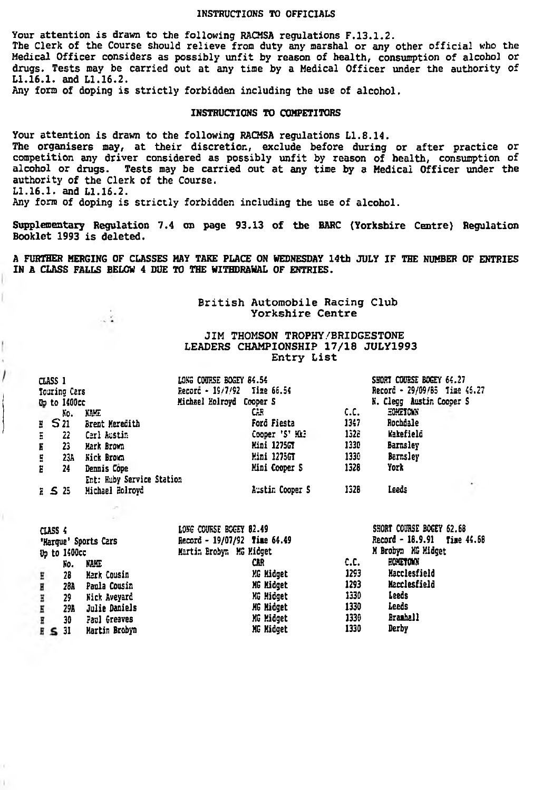#### INSTRUCTIONS TO OFFICIALS

Your attention is drawn to the following RACMSA regulations F.13.1.2. The Clerk of the Course should relieve fron duty any marshal or any other official who the Medical Officer considers as possibly unfit by reason of health, consumption of alcohol or drugs. Tests may be carried out at any time by a Medical Officer under the authority of LI.16.1. and LI.16.2.

Any form of doping is strictly forbidden including the use of alcohol.

 $\sim 2$ 

1

#### INSTRUCTIONS TO COMPETITORS

Your attention is drawn to the following RACMSA regulations LI.8.14. The organisers may, at their discretion, exclude before during or after practice or competition any driver considered as possibly unfit by reason of health, consumption of alcohol or drugs. Tests may be carried out at any time by a Medical Officer under the authority of the Clerk of the Course. LI.16.1. and LI.16.2. Any form of doping is strictly forbidden including the use of alcohol.

Supplementary Regulation 7.4 on page 93.13 of the BARC (Yorkshire Centre) Regulation Booklet 1993 is deleted.

A FURTHER MERGING OF CLASSES HAY TAKE PLACE ON WEDNESDAY 14th JULY IF THE NUMBER OF ENTRIES IN A CLASS FALLS BELOW 4 DUE TO THE WITHDRAHAL OF ENTRIES.

> British Automobile Racing Club Yorkshire Centre

## JIM THOMSON TROPHY/BRIDGESTONE LEADERS CHAMPIONSHIP 17/18 JULY1993 Entry List

| CLASS 1 |               |                           | LONG COURSE BOGEY 84.54     |                    |      | SHORT COURSE BOGEY 64.27     |   |
|---------|---------------|---------------------------|-----------------------------|--------------------|------|------------------------------|---|
|         | Touring Cars  |                           | Record - 19/7/92 Time 66.54 |                    |      | Record - 29/09/85 Time 46.27 |   |
|         | Op to 1400cc  |                           | Michael Holroyd Cooper S    |                    |      | N. Clegg Austin Cooper S     |   |
|         | K٥.           | KAHE                      |                             | СB                 | c.c. | <b>HOMETOWN</b>              |   |
| $E$ S21 |               | Brent Meredith            |                             | Ford Fiesta        | 1347 | Rochdale                     |   |
| Ξ       | 22            | Cerl Austin               |                             | Cooper 'S' Him     | 1526 | Wakefield                    |   |
| Ë       | 23            | Mark Brown                |                             | <b>Hini 1275GT</b> | 1330 | <b>Barnsley</b>              |   |
| E       | 23A           | Nick Brown                |                             | Mini 1275GT        | 1330 | Barnsley                     |   |
| Е       | 24            | Dennis Cope               |                             | Mini Cooper S      | 1328 | York                         |   |
|         |               | Ent: Huby Service Station |                             |                    |      |                              |   |
|         | $E$ $\leq$ 25 | Michael Holroyd           |                             | Austin Cooper S    | 1326 | Leeds                        | ٠ |
|         |               |                           |                             |                    |      |                              |   |

| CLASS 4<br>'Marque' Sports Cars<br>Up to 1400cc |     |                     | LONG COURSE BOGEY 82.49<br>Record - 19/07/92 Time 64.49<br>Martin Brobyn MG Midget |      | SHORT COURSE BOGEY 62.68<br>Record - 18.9.91 Time 44.68<br>M Brobyn MG Midget |  |
|-------------------------------------------------|-----|---------------------|------------------------------------------------------------------------------------|------|-------------------------------------------------------------------------------|--|
|                                                 | Ñо. | KAHE                | CAR                                                                                | c.c. | HOMETOWN                                                                      |  |
| Ε                                               | 28  | Mark Cousin         | MG Midget                                                                          | 1293 | Macclesfield                                                                  |  |
| Е                                               | 28A | Paula Cousin        | MG Midget                                                                          | 1293 | Macclesfield                                                                  |  |
| Ξ                                               | 29  | <b>Nick Avevard</b> | KG Midget                                                                          | 1330 | Leeds                                                                         |  |
| Ε                                               | 29A | Julie Daniels       | HG Hidget                                                                          | 1330 | Leeds                                                                         |  |
| Ξ                                               | 30  | Paul Greaves        | KG Midget                                                                          | 1330 | <b>Brashall</b>                                                               |  |
| E S J                                           |     | Martin Brobyn       | MG Midget                                                                          | 1330 | Derby                                                                         |  |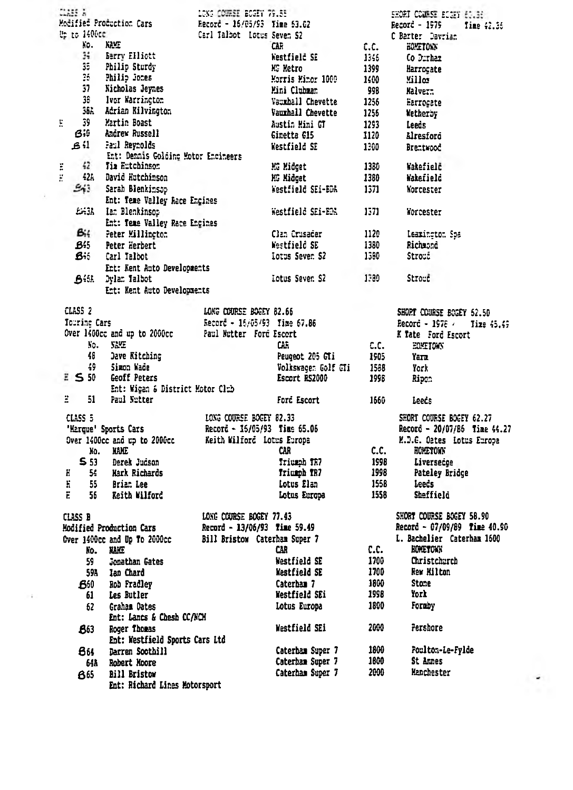|                                                          | ans a                         |                                                        | LONG COURSE BOGEY 79.55                                 |                     |                                                          | SHORT COURSE ECOSY 63.36     |        |
|----------------------------------------------------------|-------------------------------|--------------------------------------------------------|---------------------------------------------------------|---------------------|----------------------------------------------------------|------------------------------|--------|
| Modified Production Cars<br>Record - 16/05/93 Time 53.02 |                               |                                                        | Record - 1979<br>Time 42.56                             |                     |                                                          |                              |        |
|                                                          | <b>ಟ್ರಿ ಕಿರಿ 1406cc</b>       |                                                        | Carl Talbot - Lotus Seven S2                            |                     | C Barter Davrian                                         |                              |        |
|                                                          | NO.                           | KAME.                                                  |                                                         | CAR-                | c.c.                                                     | HOPETOWN                     |        |
|                                                          | $34 -$                        | <b>Serry Elliott</b>                                   |                                                         | Westfield SE        | 1345 -                                                   | Co Dirham                    |        |
|                                                          | 35.                           | Philip Sturdy                                          |                                                         | KG Metro            | 1399                                                     | Harrogate                    |        |
|                                                          | 26.                           | Philip Jones                                           |                                                         | Morris Minor 1000   | 1400                                                     | Villos.                      |        |
|                                                          | 37                            | Nicholas Jeynes                                        |                                                         | Mini Clubman        | 998                                                      | Malver:                      |        |
|                                                          | 38.                           | Ivor Warrington                                        |                                                         | Vauxhall Chevette   | 1256                                                     | Harrogate                    |        |
|                                                          |                               | 36A Adrian Kilvington                                  |                                                         | Vauxhall Chevette   | 1256                                                     | <b>Netherby</b>              |        |
| E                                                        | 39                            | Martin Boast                                           |                                                         | Austin Mini GT      | 1293                                                     |                              |        |
|                                                          | Bit                           | Andrew Russell                                         |                                                         |                     |                                                          | Leeds                        |        |
|                                                          | ا؛ ع                          | Faul Reynolds                                          |                                                         | Ginetta G15         | 1120                                                     | Alresford                    |        |
|                                                          |                               |                                                        |                                                         | <b>Kestfield SE</b> | 1300                                                     | Brentwood                    |        |
|                                                          | 42                            | Ent: Dennis Golding Motor Encineers<br>Tia Eutchinson  |                                                         |                     |                                                          |                              |        |
| ï                                                        |                               |                                                        |                                                         | MG Midget           | 1380                                                     | Wakefielč                    |        |
| E                                                        |                               | 42A David Hutchinson                                   |                                                         | KG Midget           | 1380                                                     | Wakefield                    |        |
|                                                          | $\mathfrak{S}_{\mathfrak{F}}$ | Sarah Blenkinsop                                       |                                                         | Westfield SEi-BDA   | 1371                                                     | Norcester                    |        |
|                                                          |                               | Ent: Teme Valley Race Engines                          |                                                         |                     |                                                          |                              |        |
|                                                          |                               | £43A Ian Blenkinsop                                    |                                                         | Westfield SEi-EDA   | 1571                                                     | Yorcester                    |        |
|                                                          |                               | Ent: Teme Valley Race Engines                          |                                                         |                     |                                                          |                              |        |
|                                                          | $B_{14}$                      | Peter Millington                                       |                                                         | Clan Crusader       | 1120                                                     | Leazington Spa               |        |
|                                                          | B55                           | Peter Herbert                                          |                                                         | Westfield SE        | 1380                                                     | Richaond                     |        |
|                                                          | Bit i                         | Carl Talbot                                            |                                                         | lotus Seven S2      | 1560                                                     | Strond                       |        |
|                                                          |                               | Ent: Kent Auto Developments                            |                                                         |                     |                                                          |                              |        |
|                                                          |                               | <b>A</b> : bylan falbot                                |                                                         | Lotus Seven S2      | 1380                                                     | Stroud                       |        |
|                                                          |                               |                                                        |                                                         |                     |                                                          |                              |        |
|                                                          |                               | Ent: Kent Auto Developments                            |                                                         |                     |                                                          |                              |        |
|                                                          | CLASS <sub>2</sub>            |                                                        | LONG COURSE BOGEY 82.66                                 |                     |                                                          | SHORT COURSE BOGEY 52.50     |        |
|                                                          | Tourine Cars                  |                                                        | Record - 16/05/93 Time 67.86                            |                     |                                                          | Record - 1978 / Tixe 45.49   |        |
|                                                          |                               | Over 1400cc and up to 2000cc - Paul Mutter Ford Escort |                                                         |                     |                                                          | K Tate Ford Escort           |        |
|                                                          | Кo.                           | <b>SEMI</b>                                            |                                                         | CAR.                | c.c.                                                     | EOMETOWN                     |        |
|                                                          | 48                            | Jave Kitching                                          |                                                         | Peugeot 205 GTi     | 1905                                                     | Yarz                         |        |
|                                                          | 49.                           | Simon Wade                                             |                                                         | Volkswagen Golf CTi | 1588                                                     | York                         |        |
|                                                          | E S 50                        | Geoff Peters                                           |                                                         | Escort RS2000       | 1998                                                     |                              |        |
|                                                          |                               | Ent: Wigan & District Motor Club                       |                                                         |                     |                                                          | Ripon                        |        |
| Ξ.                                                       | 51 -                          | Paul Nutter                                            |                                                         | Ford Escort         | 1550                                                     |                              |        |
|                                                          |                               |                                                        |                                                         |                     |                                                          | Leeds                        |        |
|                                                          | CLASS 5                       |                                                        | LONG COURSE BOGEY 82.33<br>Record - 16/05/93 Time 65.06 |                     | SHORT COURSE BOGEY 62.27<br>Record - 20/07/86 Time 44.27 |                              |        |
|                                                          |                               | 'Marque' Sports Cars                                   |                                                         |                     |                                                          |                              |        |
|                                                          |                               | Over 1400cc and up to 2000cc                           | Keith Wilford Lotus Europa                              |                     |                                                          | M.D.G. Oates Lotus Europa    |        |
|                                                          |                               | No. NAME                                               |                                                         | CAR.                | c.c.                                                     | <b>HOMETOWN</b>              |        |
|                                                          | S 53                          | Derek Judson                                           |                                                         | Triumph TR7         | 1998                                                     | Liversedge                   |        |
| Н                                                        | 54.                           | Mark Richards                                          |                                                         | Triumph TR7         | 1998                                                     | Pateley Bridge               |        |
| н                                                        | 55.                           | Brian Lee                                              |                                                         | Lotus Elan          | 1558                                                     | Leeds                        |        |
| Ë.                                                       | 56                            | Keith Wilford                                          |                                                         | Lotus Europa        | 1558                                                     | Sheffield                    |        |
|                                                          |                               |                                                        |                                                         |                     |                                                          |                              |        |
|                                                          | CLASS B                       |                                                        | LONG COURSE BOGEY 77.43                                 |                     |                                                          | SHORT COURSE BOGEY 58.90     |        |
|                                                          | Modified Production Cars      |                                                        | Record - 13/06/93 Time 59.49                            |                     |                                                          | Record - 07/09/89 Time 40.90 |        |
|                                                          |                               | Over 1400cc and Up To 2000cc                           | Bill Bristow Caterham Super 7                           |                     |                                                          | L. Bachelier Caterham 1600   |        |
|                                                          |                               | <b>HAILE</b>                                           |                                                         | CAR.                | C.C.                                                     | <b>EOMETOWN</b>              |        |
|                                                          | No.                           |                                                        |                                                         |                     | 1700                                                     |                              |        |
|                                                          | 59.                           | Jonathan Gates                                         |                                                         | Westfield SE        |                                                          | Christchurch                 |        |
|                                                          |                               | 59A lan Chard                                          |                                                         | <b>Westfield SE</b> | 1700                                                     | Rew Hilton                   |        |
|                                                          | B50                           | Rob Fradley                                            |                                                         | Caterham 7          | 1800                                                     | Stone                        |        |
|                                                          | 61                            | Les Butler                                             |                                                         | Westfield SEi       | 1998                                                     | York                         |        |
|                                                          | 62                            | Graham Dates                                           |                                                         | Lotus Europa        | 1800                                                     | Fornby                       |        |
|                                                          |                               | Ent: Lancs & Chesh CC/NCH                              |                                                         |                     |                                                          |                              |        |
|                                                          | 863                           | Roger Thomas                                           |                                                         | Westfield SEi       | 2000                                                     | Pershore                     |        |
|                                                          |                               | Ent: Westfield Sports Cars Ltd                         |                                                         |                     |                                                          |                              |        |
|                                                          | 861                           | Darren Soothill                                        |                                                         | Caterbam Super 7    | 1800                                                     | Poulton-Le-Fylde             |        |
|                                                          | 64A                           | Robert Moore                                           |                                                         | Caternam Super 7    | 1600                                                     | St Annes                     |        |
|                                                          | 865                           | <b>Bill Bristow</b>                                    |                                                         | Caterham Super 7    | 2000                                                     | Hanchester                   |        |
|                                                          |                               | Ent: Richard Lines Motorsport                          |                                                         |                     |                                                          |                              | $\sim$ |
|                                                          |                               |                                                        |                                                         |                     |                                                          |                              |        |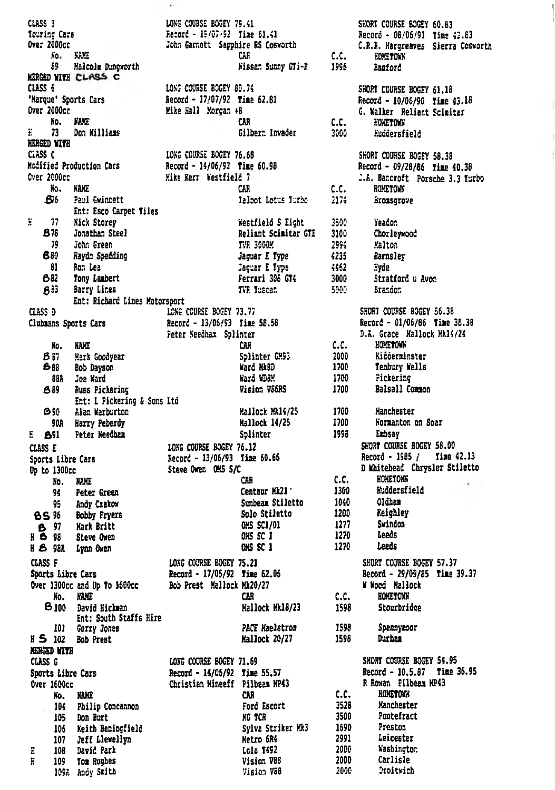MERGED WITH CLASS C<br>
MERGED WITH CLASS C<br>
CLASS 6<br>
Marque' Sports Cars<br>
Fargence Socky 80.74<br>
Marque' Sports Cars<br>
Fargence Socky 80.74<br>
Marque Sports Cars<br>
Fargence Mike Hall Morgan & C.81<br>
Fargence Mike Hall Morgan & C.8 **NERGED WITH** MEMBER MENTRE BOEFY SB.38<br>
ELES CONSE ENGERE DES SHORT COURSE BOEFY 58.38<br>
MEGITE Production Cars Record - 14/06/92 Time 60.98<br>
MEGITE RECORD Record - 09/28/86 Time 40.38<br>
CAR C.C. HOMETORN<br>
SES Paul Gwinnett CAR C.C. HOME Paul Gwinnett<br>
Ent: Esco Carpet Tiles<br>
Nick Storey<br>
Morathan Steel<br>
Jonathan Steel<br>
Jonathan Steel<br>
Morathan Steel<br>
Morathan Steel<br>
Mary In Steel<br>
Mary Section<br>
Pappin Speeding<br>
Mary Section<br>
Rayan Speeding<br>
Mary Internati g.  $77$ **878** 70 880 81 682 **633** Ent: Richard Lines Motorsport<br>
CLESS D<br>
Clubnans Sports Cars<br>
Record - 13/05/93 Time 58.56<br>
Record - 01/06/86 Time 38.38<br>
Peter Seedhax Splinter<br>
Ro. NAME<br>
Ro. NAME<br>
Ro. NAME<br>
Ro. NAME<br>
Ro. NAME<br>
Ro. NAME<br>
Ro. NAME<br>
Ro. NA NO. NAME<br>
1987 Hark Goodyear<br>
1988 Bob Dayson<br>
1988 Bob Dayson<br>
1988 Hotel<br>
1988 Hickering<br>
1988 Hickering<br>
1988 Hotel<br>
1988 Hickering<br>
1988 Hotel<br>
1988 Hotel<br>
1988 Hickering 68A Joe Ward<br>
689 Russ Pickering<br>
fact: 1 Pickering & Sons Itd<br>
1990 Alan Warburton<br>
900 Alan Warburton<br>
820 Alan Warburton<br>
821 Dock NA14/25 1700 Montanton on Soer<br>
851 Peter Needban<br>
525 E<br>
525 Export Sile Cars<br>
526 Sep  $H S$  102 Bob Prest MERGED WITH<br>
CLASS G<br>
Sports Libre Cars<br>
Sports Libre Cars<br>
Record - 14/05/92 Time 55.57<br>
Necord - 10.5.87 Time 36.95<br>
Necord - 10.5.87 Time 36.95<br>
Necord - 10.5.87 Time 36.95<br>
Necord - 10.5.87 Time 36.95<br>
Necord - 10.5.87 **MERGED WITH**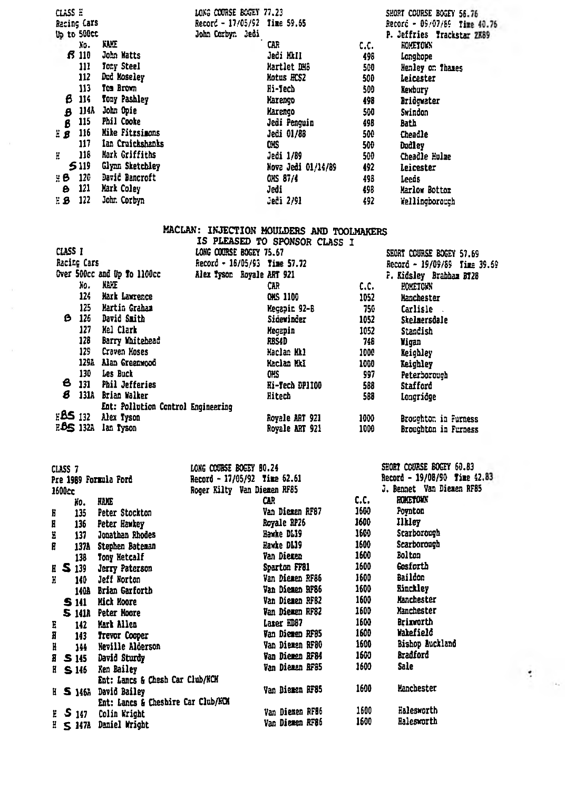| CLASS E |             |                  | LONG COURSE BOGEY 77.23      |                    |      | SHORT COURSE BOGEY 56.76     |
|---------|-------------|------------------|------------------------------|--------------------|------|------------------------------|
|         | Racing Cars |                  | Record - 17/05/92 Time 59.65 |                    |      | Record - 09/07/89 Time 40.76 |
|         | Up to 500cc |                  | John Corbyr. Jedi            |                    |      | P. Jeffries Trackstar ZK89   |
|         | N٥.         | KAIT             |                              | CAR                | c.c. | <b>ROMETOWN</b>              |
|         | 13 III      | John Watts       |                              | Jedi MkIl          | 498  | Longhope                     |
|         | 111         | Tony Steel       |                              | Hartlet DH8        | 500  | Henley on Thames             |
|         | 112         | Dud Moseley      |                              | Hotus HCS2         | 500  | Leicester                    |
|         | 113         | Tom Brown        |                              | lli-Tech           | 500  | Kexbury                      |
| 6       | 114         | Tony Pashley     |                              | Narenço            | 498  | Bridgwater                   |
| B       | 114A        | John Opie        |                              | Marengo            | 500  | Swindon                      |
| ß       | 115         | Phil Cooke       |                              | Jedi Penguin       | 498  | Bath                         |
| ΞB      | 116         | Mike Fitzsimons  |                              | Jedi 01/88         | 500  | Cheadle                      |
|         | 117         | Ian Cruickshanks |                              | œs                 | 500  | Dudley                       |
| H       | 118         | Mark Griffiths   |                              | Jedi 1/89          | 500  | Cheadle Hulme                |
|         | 5119        | Glynn Sketchley  |                              | Nova Jedi 01/14/89 | 492  | Leicester                    |
| μΒ      | 120         | David Bancroft   |                              | <b>OKS 87/4</b>    | 498  | Leeds                        |
| Θ       | 121         | Mark Coley       |                              | Jedi               | 498  | Marlow Bottor                |
| EВ      | 122         | John Corbyn      |                              | Ječi 2/91          | 492  | Wellingborouch               |

# MACLAN: INJECTION MOULDERS AND TOOLMAKERS

|         |                  |                                    |                         | IS PLEASED TO SPONSOR CLASS I |      |                              |
|---------|------------------|------------------------------------|-------------------------|-------------------------------|------|------------------------------|
| CLASS T |                  |                                    | LONG COURSE BOGEY 75.67 |                               |      | SEORT COURSE BOGEY 57.69     |
|         | Racing Cars      |                                    |                         | Record - 16/05/93 Time 57.72  |      | Record - 19/09/89 Time 39.69 |
|         |                  | Over 500cc and Up To 1100cc        |                         | Alex Tyson Royale ART 921     |      | P. Kidsley Brabbam BT28      |
|         | Xо.              | <b>NAME</b>                        |                         | CAR                           | c.c. | <b>HOMETOWN</b>              |
|         | 124              | Mark Lawrence                      |                         | <b>CHS 1100</b>               | 1052 | Hanchester                   |
|         | 125              | Martin Graham                      |                         | Megapin 92-B                  | 750  | Carlisle.                    |
| ß       | 126              | David Smith                        |                         | Sidewinder                    | 1052 | Skelmersdale                 |
|         | 127              | Mel Clark                          |                         | Megapin                       | 1052 | Standish                     |
|         | 128              | Barry Whitebead                    |                         | RBS4D                         | 748  | Vigan                        |
|         | 129              | Craven Moses                       |                         | Naclan Mkl                    | 1000 | Keighley                     |
|         | 129A             | Alan Greenwood                     |                         | <b>Maclan MkI</b>             | 1000 | Keighley                     |
|         | 130              | Les Buck                           |                         | OHS                           | 997  | Peterborough                 |
| в       | 131              | <b>Phil Jefferies</b>              |                         | Hi-Tech DP1100                | 588  | Stafford                     |
| s       | 131A             | Brian Walker                       |                         | Hitech                        | 588  | Longridge                    |
|         |                  | Ent: Pollution Control Engineering |                         |                               |      |                              |
|         | E <b>BS</b> 132  | Alex Tyson                         |                         | Royale ART 921                | 1000 | Broughton in Furness         |
|         | E <b>BS</b> 132A | lan Tyson                          |                         | Royale ART 921                | 1000 | Broughton in Furness         |
|         |                  |                                    |                         |                               |      |                              |

|                       | CLASS 7 |                |                                    | LONG COURSE BOGEY 80.24      |      | SHORT COURSE BOGEY 60.83     |
|-----------------------|---------|----------------|------------------------------------|------------------------------|------|------------------------------|
| Pre 1989 Formula Ford |         |                |                                    | Record - 17/05/92 Time 52.61 |      | Record - 19/08/90 Time 42.83 |
| 1600cc                |         |                |                                    | Roger Kilty Van Diemen RF85  |      | J. Bennet Van Diemen RF85    |
|                       |         | Hо.            | <b>HANG</b>                        | CШ                           | c.c. | <b>HOMETOWN</b>              |
| Ë                     |         | 135            | Peter Stockton                     | Van Diemen RF87              | 1600 | Poynton                      |
| H                     |         | 136            | Peter Hawkey                       | Royale RP26                  | 1600 | <b>Ilkley</b>                |
| Ë                     |         | 137            | Jonathan Rhodes                    | Bawke DL19                   | 1600 | Scarborough                  |
| E                     |         | 137A           | Stephen Bateman                    | Hawke DL19                   | 1600 | Scarborough                  |
|                       |         | 138            | Tony Netcalf                       | Van Diemen                   | 1600 | Bolton                       |
|                       |         | <b>E S 139</b> | Jerry Paterson                     | Sparton FF81                 | 1600 | Gosforth                     |
| H                     |         | 140            | Jeff Norton                        | Van Diemen RF86              | 1600 | Baildon                      |
|                       |         | 140A           | Brian Garforth                     | Van Diemen RF86              | 1600 | <b>Rinckley</b>              |
|                       |         | <b>S</b> 141   | Mick Hoore                         | Van Diemen RFB2              | 1600 | Manchester                   |
|                       |         |                | S 141A Peter Hoore                 | Van Diemen RF82              | 1600 | Nanchester                   |
| E                     |         | 142            | Mark Allen                         | Lazer HD87                   | 1600 | Brixeorth                    |
| H                     |         | 143            | Trevor Cooper                      | Van Diemen RF85              | 1600 | Wakefield                    |
| H                     |         | 144            | Neville Alderson                   | Van Diemen RF80              | 1600 | Bishop Auckland              |
|                       |         | E S 145        | David Sturdy                       | Van Diemen RF84              | 1600 | Bradford                     |
|                       |         | IS 146         | Ken Bailey                         | Van Diemen RF85              | 1600 | Sale                         |
|                       |         |                | Ent: Lancs & Chesh Car Club/HCH    |                              |      |                              |
|                       |         | H 5146A        | David Bailey                       | Van Diemen RF85              | 1600 | Hanchester                   |
|                       |         |                | Ent: Lancs & Cheshire Car Club/HCM |                              |      |                              |
|                       |         | $E = 5147$     | Colin Wright                       | Van Diemen RF86              | 1600 | Halesworth                   |
|                       |         |                | $E \leq 147$ Daniel Wright         | Van Diemen RF86              | 1600 | Halesworth                   |

 $\mathcal{A}$  $\mathbf{1}_{\mathbf{A}_1}$